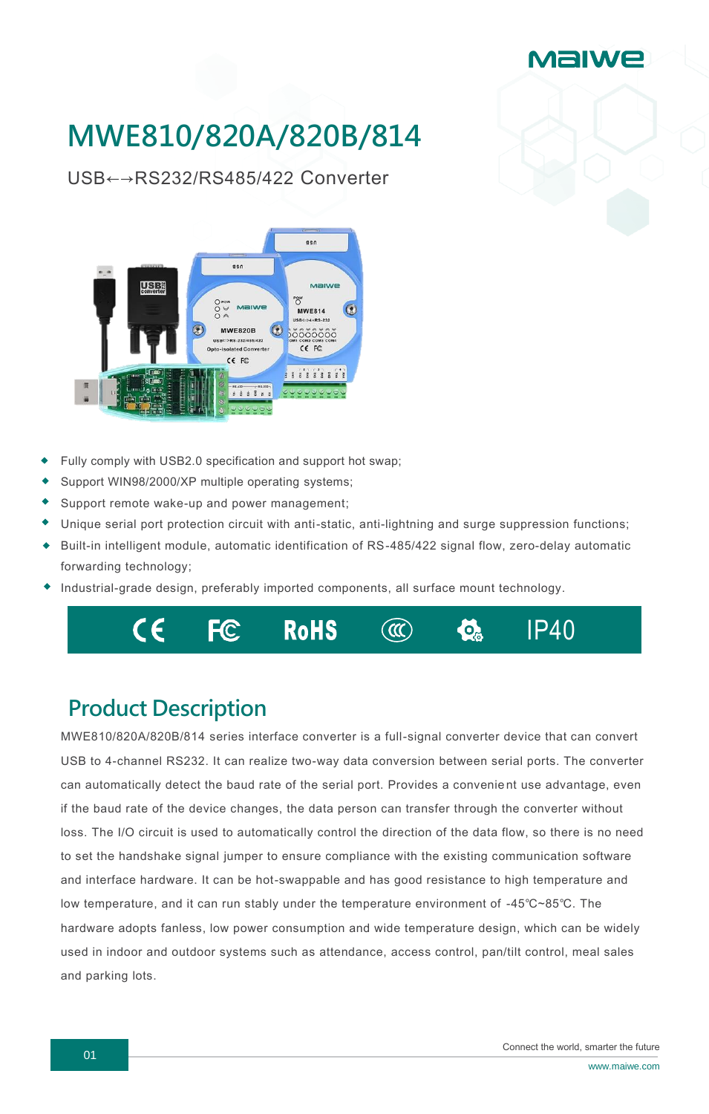

## **MWE810/820A/820B/814**

USB←→RS232/RS485/422 Converter



- Fully comply with USB2.0 specification and support hot swap;
- Support WIN98/2000/XP multiple operating systems;
- Support remote wake-up and power management;
- Unique serial port protection circuit with anti-static, anti-lightning and surge suppression functions;
- Built-in intelligent module, automatic identification of RS-485/422 signal flow, zero-delay automatic forwarding technology;
- Industrial-grade design, preferably imported components, all surface mount technology.



## **Product Description**

MWE810/820A/820B/814 series interface converter is a full-signal converter device that can convert USB to 4-channel RS232. It can realize two-way data conversion between serial ports. The converter can automatically detect the baud rate of the serial port. Provides a convenie nt use advantage, even if the baud rate of the device changes, the data person can transfer through the converter without loss. The I/O circuit is used to automatically control the direction of the data flow, so there is no need to set the handshake signal jumper to ensure compliance with the existing communication software and interface hardware. It can be hot-swappable and has good resistance to high temperature and low temperature, and it can run stably under the temperature environment of -45℃~85℃. The hardware adopts fanless, low power consumption and wide temperature design, which can be widely used in indoor and outdoor systems such as attendance, access control, pan/tilt control, meal sales and parking lots.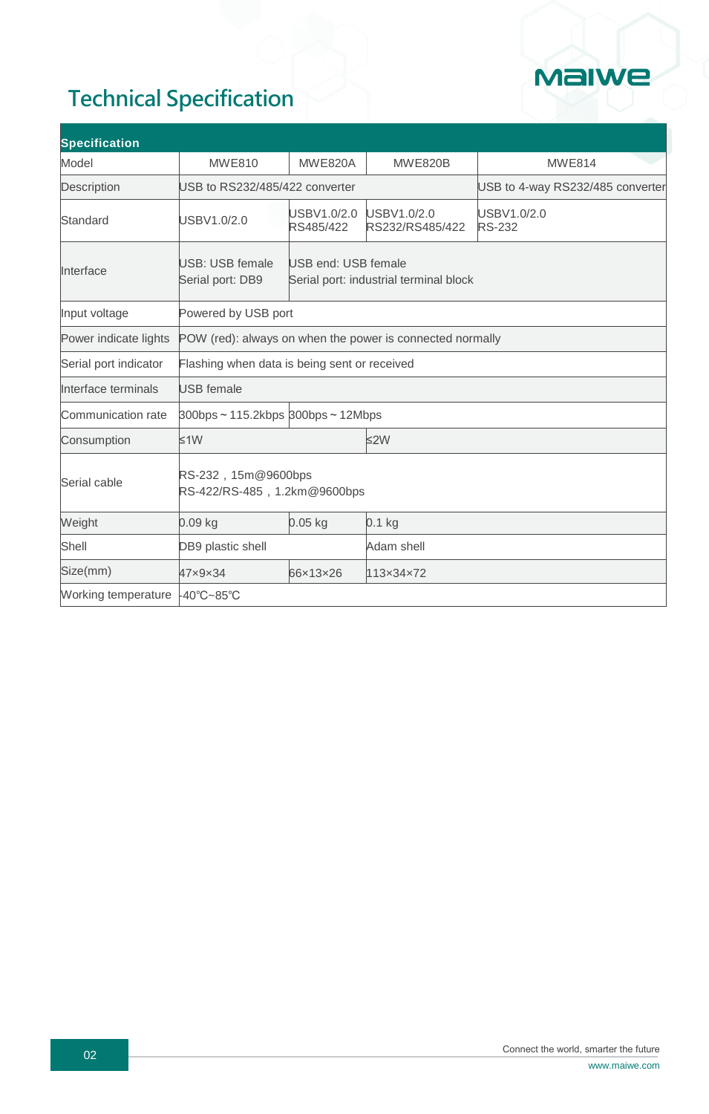

## **Technical Specification**

| <b>Specification</b>           |                                                           |                                                               |                                |                                  |  |
|--------------------------------|-----------------------------------------------------------|---------------------------------------------------------------|--------------------------------|----------------------------------|--|
| Model                          | <b>MWE810</b>                                             | <b>MWE820A</b>                                                | <b>MWE820B</b>                 | <b>MWE814</b>                    |  |
| Description                    | USB to RS232/485/422 converter                            |                                                               |                                | USB to 4-way RS232/485 converter |  |
| Standard                       | USBV1.0/2.0                                               | USBV1.0/2.0<br>RS485/422                                      | USBV1.0/2.0<br>RS232/RS485/422 | USBV1.0/2.0<br><b>RS-232</b>     |  |
| Interface                      | USB: USB female<br>Serial port: DB9                       | USB end: USB female<br>Serial port: industrial terminal block |                                |                                  |  |
| Input voltage                  | Powered by USB port                                       |                                                               |                                |                                  |  |
| Power indicate lights          | POW (red): always on when the power is connected normally |                                                               |                                |                                  |  |
| Serial port indicator          | Flashing when data is being sent or received              |                                                               |                                |                                  |  |
| Interface terminals            | <b>USB</b> female                                         |                                                               |                                |                                  |  |
| Communication rate             | $300bps \sim 115.2kbps$ 300bps $\sim$ 12Mbps              |                                                               |                                |                                  |  |
| Consumption                    | $≤1W$                                                     |                                                               | $≤2W$                          |                                  |  |
| Serial cable                   | RS-232, 15m@9600bps<br>RS-422/RS-485, 1.2km@9600bps       |                                                               |                                |                                  |  |
| Weight                         | $0.09$ kg                                                 | $0.05$ kg                                                     | $0.1$ kg                       |                                  |  |
| Shell                          | DB9 plastic shell                                         |                                                               | Adam shell                     |                                  |  |
| Size(mm)                       | 47×9×34                                                   | 66×13×26                                                      | 113x34x72                      |                                  |  |
| Working temperature -40°C~85°C |                                                           |                                                               |                                |                                  |  |